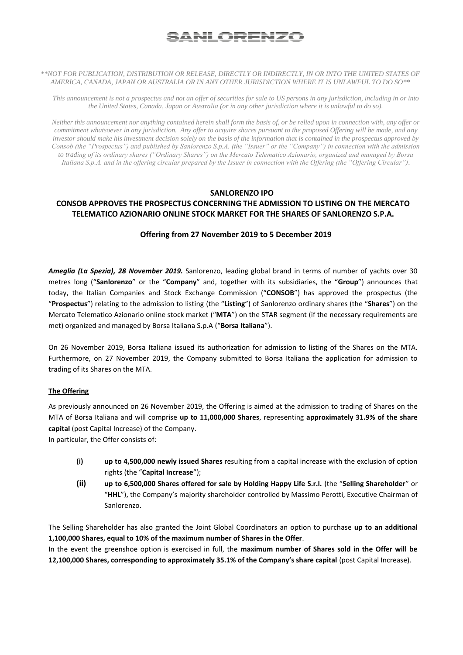# <u>SANLORENZO</u>

#### *\*\*NOT FOR PUBLICATION, DISTRIBUTION OR RELEASE, DIRECTLY OR INDIRECTLY, IN OR INTO THE UNITED STATES OF AMERICA, CANADA, JAPAN OR AUSTRALIA OR IN ANY OTHER JURISDICTION WHERE IT IS UNLAWFUL TO DO SO\*\**

*This announcement is not a prospectus and not an offer of securities for sale to US persons in any jurisdiction, including in or into the United States, Canada, Japan or Australia (or in any other jurisdiction where it is unlawful to do so).*

*Neither this announcement nor anything contained herein shall form the basis of, or be relied upon in connection with, any offer or commitment whatsoever in any jurisdiction. Any offer to acquire shares pursuant to the proposed Offering will be made, and any investor should make his investment decision solely on the basis of the information that is contained in the prospectus approved by Consob (the "Prospectus") and published by Sanlorenzo S.p.A. (the "Issuer" or the "Company") in connection with the admission to trading of its ordinary shares ("Ordinary Shares") on the Mercato Telematico Azionario, organized and managed by Borsa Italiana S.p.A. and in the offering circular prepared by the Issuer in connection with the Offering (the "Offering Circular").*

## **SANLORENZO IPO**

## **CONSOB APPROVES THE PROSPECTUS CONCERNING THE ADMISSION TO LISTING ON THE MERCATO TELEMATICO AZIONARIO ONLINE STOCK MARKET FOR THE SHARES OF SANLORENZO S.P.A.**

### **Offering from 27 November 2019 to 5 December 2019**

*Ameglia (La Spezia), 28 November 2019.* Sanlorenzo, leading global brand in terms of number of yachts over 30 metres long ("**Sanlorenzo**" or the "**Company**" and, together with its subsidiaries, the "**Group**") announces that today, the Italian Companies and Stock Exchange Commission ("**CONSOB**") has approved the prospectus (the "**Prospectus**") relating to the admission to listing (the "**Listing**") of Sanlorenzo ordinary shares (the "**Shares**") on the Mercato Telematico Azionario online stock market ("**MTA**") on the STAR segment (if the necessary requirements are met) organized and managed by Borsa Italiana S.p.A ("**Borsa Italiana**").

On 26 November 2019, Borsa Italiana issued its authorization for admission to listing of the Shares on the MTA. Furthermore, on 27 November 2019, the Company submitted to Borsa Italiana the application for admission to trading of its Shares on the MTA.

### **The Offering**

As previously announced on 26 November 2019, the Offering is aimed at the admission to trading of Shares on the MTA of Borsa Italiana and will comprise **up to 11,000,000 Shares**, representing **approximately 31.9% of the share capital** (post Capital Increase) of the Company.

In particular, the Offer consists of:

- **(i) up to 4,500,000 newly issued Shares** resulting from a capital increase with the exclusion of option rights (the "**Capital Increase**");
- **(ii) up to 6,500,000 Shares offered for sale by Holding Happy Life S.r.l.** (the "**Selling Shareholder**" or "**HHL**"), the Company's majority shareholder controlled by Massimo Perotti, Executive Chairman of Sanlorenzo.

The Selling Shareholder has also granted the Joint Global Coordinators an option to purchase **up to an additional 1,100,000 Shares, equal to 10% of the maximum number of Shares in the Offer**.

In the event the greenshoe option is exercised in full, the **maximum number of Shares sold in the Offer will be 12,100,000 Shares, corresponding to approximately 35.1% of the Company's share capital** (post Capital Increase).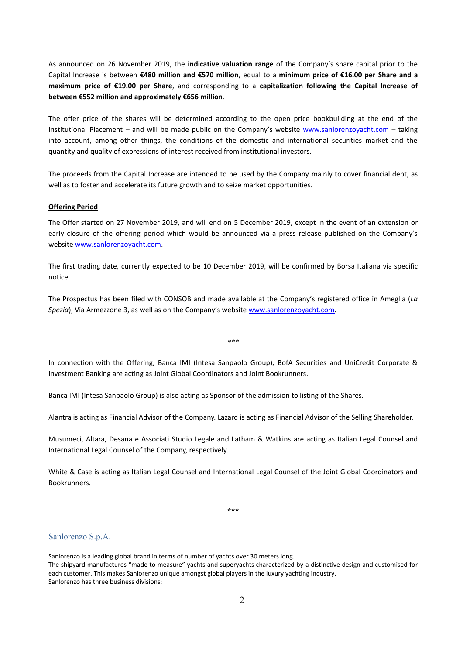As announced on 26 November 2019, the **indicative valuation range** of the Company's share capital prior to the Capital Increase is between **€480 million and €570 million**, equal to a **minimum price of €16.00 per Share and a maximum price of €19.00 per Share**, and corresponding to a **capitalization following the Capital Increase of between €552 million and approximately €656 million**.

The offer price of the shares will be determined according to the open price bookbuilding at the end of the Institutional Placement – and will be made public on the Company's website [www.sanlorenzoyacht.com](http://www.sanlorenzoyacht.com/) – taking into account, among other things, the conditions of the domestic and international securities market and the quantity and quality of expressions of interest received from institutional investors.

The proceeds from the Capital Increase are intended to be used by the Company mainly to cover financial debt, as well as to foster and accelerate its future growth and to seize market opportunities.

#### **Offering Period**

The Offer started on 27 November 2019, and will end on 5 December 2019, except in the event of an extension or early closure of the offering period which would be announced via a press release published on the Company's websit[e www.sanlorenzoyacht.com.](http://www.sanlorenzoyacht.com/)

The first trading date, currently expected to be 10 December 2019, will be confirmed by Borsa Italiana via specific notice.

The Prospectus has been filed with CONSOB and made available at the Company's registered office in Ameglia (*La Spezia*), Via Armezzone 3, as well as on the Company's websit[e www.sanlorenzoyacht.com.](http://www.sanlorenzoyacht.com/)

*\*\*\**

In connection with the Offering, Banca IMI (Intesa Sanpaolo Group), BofA Securities and UniCredit Corporate & Investment Banking are acting as Joint Global Coordinators and Joint Bookrunners.

Banca IMI (Intesa Sanpaolo Group) is also acting as Sponsor of the admission to listing of the Shares.

Alantra is acting as Financial Advisor of the Company. Lazard is acting as Financial Advisor of the Selling Shareholder.

Musumeci, Altara, Desana e Associati Studio Legale and Latham & Watkins are acting as Italian Legal Counsel and International Legal Counsel of the Company, respectively.

White & Case is acting as Italian Legal Counsel and International Legal Counsel of the Joint Global Coordinators and Bookrunners.

**\*\*\***

#### Sanlorenzo S.p.A.

Sanlorenzo is a leading global brand in terms of number of yachts over 30 meters long. The shipyard manufactures "made to measure" yachts and superyachts characterized by a distinctive design and customised for each customer. This makes Sanlorenzo unique amongst global players in the luxury yachting industry. Sanlorenzo has three business divisions: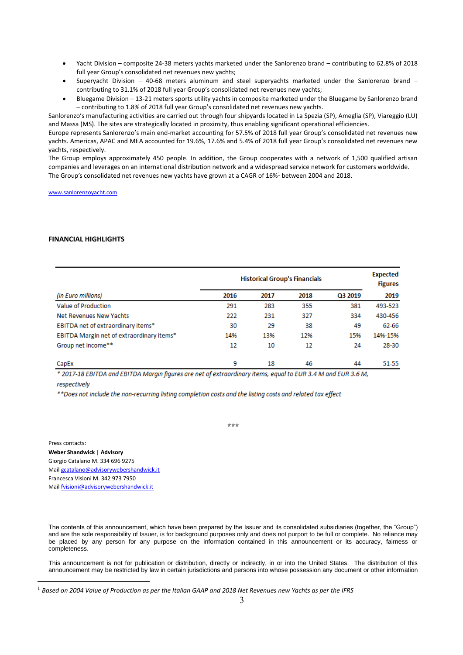- Yacht Division composite 24-38 meters yachts marketed under the Sanlorenzo brand contributing to 62.8% of 2018 full year Group's consolidated net revenues new yachts;
- Superyacht Division 40-68 meters aluminum and steel superyachts marketed under the Sanlorenzo brand contributing to 31.1% of 2018 full year Group's consolidated net revenues new yachts;
- Bluegame Division 13-21 meters sports utility yachts in composite marketed under the Bluegame by Sanlorenzo brand – contributing to 1.8% of 2018 full year Group's consolidated net revenues new yachts.

Sanlorenzo's manufacturing activities are carried out through four shipyards located in La Spezia (SP), Ameglia (SP), Viareggio (LU) and Massa (MS). The sites are strategically located in proximity, thus enabling significant operational efficiencies.

Europe represents Sanlorenzo's main end-market accounting for 57.5% of 2018 full year Group's consolidated net revenues new yachts. Americas, APAC and MEA accounted for 19.6%, 17.6% and 5.4% of 2018 full year Group's consolidated net revenues new yachts, respectively.

The Group employs approximately 450 people. In addition, the Group cooperates with a network of 1,500 qualified artisan companies and leverages on an international distribution network and a widespread service network for customers worldwide. The Group's consolidated net revenues new yachts have grown at a CAGR of 16%<sup>1</sup> between 2004 and 2018.

[www.sanlorenzoyacht.com](http://www.sanlorenzoyacht.com/)

#### **FINANCIAL HIGHLIGHTS**

|                                           | <b>Historical Group's Financials</b> |      |      |         | <b>Expected</b><br><b>Figures</b> |
|-------------------------------------------|--------------------------------------|------|------|---------|-----------------------------------|
| (in Euro millions)                        | 2016                                 | 2017 | 2018 | Q3 2019 | 2019                              |
| Value of Production                       | 291                                  | 283  | 355  | 381     | 493-523                           |
| Net Revenues New Yachts                   | 222                                  | 231  | 327  | 334     | 430-456                           |
| EBITDA net of extraordinary items*        | 30                                   | 29   | 38   | 49      | 62-66                             |
| EBITDA Margin net of extraordinary items* | 14%                                  | 13%  | 12%  | 15%     | 14%-15%                           |
| Group net income**                        | 12                                   | 10   | 12   | 24      | 28-30                             |
| CapEx                                     | 9                                    | 18   | 46   | 44      | 51-55                             |

\* 2017-18 EBITDA and EBITDA Margin figures are net of extraordinary items, equal to EUR 3.4 M and EUR 3.6 M,

respectively

\*\*Does not include the non-recurring listing completion costs and the listing costs and related tax effect

**\*\*\***

Press contacts: **Weber Shandwick | Advisory** Giorgio Catalano M. 334 696 9275 Mai[l gcatalano@advisorywebershandwick.it](mailto:gcatalano@advisorywebershandwick.it)  Francesca Visioni M. 342 973 7950 Mail [fvisioni@advisorywebershandwick.it](mailto:fvisioni@advisorywebershandwick.it)

The contents of this announcement, which have been prepared by the Issuer and its consolidated subsidiaries (together, the "Group") and are the sole responsibility of Issuer, is for background purposes only and does not purport to be full or complete. No reliance may be placed by any person for any purpose on the information contained in this announcement or its accuracy, fairness or completeness.

This announcement is not for publication or distribution, directly or indirectly, in or into the United States. The distribution of this announcement may be restricted by law in certain jurisdictions and persons into whose possession any document or other information

<sup>1</sup> *Based on 2004 Value of Production as per the Italian GAAP and 2018 Net Revenues new Yachts as per the IFRS*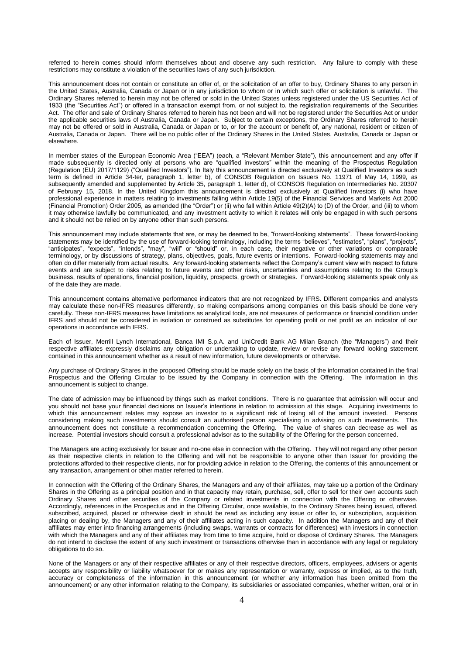referred to herein comes should inform themselves about and observe any such restriction. Any failure to comply with these restrictions may constitute a violation of the securities laws of any such jurisdiction.

This announcement does not contain or constitute an offer of, or the solicitation of an offer to buy, Ordinary Shares to any person in the United States, Australia, Canada or Japan or in any jurisdiction to whom or in which such offer or solicitation is unlawful. The Ordinary Shares referred to herein may not be offered or sold in the United States unless registered under the US Securities Act of 1933 (the "Securities Act") or offered in a transaction exempt from, or not subject to, the registration requirements of the Securities Act. The offer and sale of Ordinary Shares referred to herein has not been and will not be registered under the Securities Act or under the applicable securities laws of Australia, Canada or Japan. Subject to certain exceptions, the Ordinary Shares referred to herein may not be offered or sold in Australia, Canada or Japan or to, or for the account or benefit of, any national, resident or citizen of Australia, Canada or Japan. There will be no public offer of the Ordinary Shares in the United States, Australia, Canada or Japan or elsewhere.

In member states of the European Economic Area ("EEA") (each, a "Relevant Member State"), this announcement and any offer if made subsequently is directed only at persons who are "qualified investors" within the meaning of the Prospectus Regulation (Regulation (EU) 2017/1129) ("Qualified Investors"). In Italy this announcement is directed exclusively at Qualified Investors as such term is defined in Article 34-ter, paragraph 1, letter b), of CONSOB Regulation on Issuers No. 11971 of May 14, 1999, as subsequently amended and supplemented by Article 35, paragraph 1, letter d), of CONSOB Regulation on Intermediaries No. 20307 of February 15, 2018. In the United Kingdom this announcement is directed exclusively at Qualified Investors (i) who have professional experience in matters relating to investments falling within Article 19(5) of the Financial Services and Markets Act 2000 (Financial Promotion) Order 2005, as amended (the "Order") or (ii) who fall within Article 49(2)(A) to (D) of the Order, and (iii) to whom it may otherwise lawfully be communicated, and any investment activity to which it relates will only be engaged in with such persons and it should not be relied on by anyone other than such persons.

This announcement may include statements that are, or may be deemed to be, "forward-looking statements". These forward-looking statements may be identified by the use of forward-looking terminology, including the terms "believes", "estimates", "plans", "projects", "anticipates", "expects", "intends", "may", "will" or "should" or, in each case, their negative or other variations or comparable terminology, or by discussions of strategy, plans, objectives, goals, future events or intentions. Forward-looking statements may and often do differ materially from actual results. Any forward-looking statements reflect the Company's current view with respect to future events and are subject to risks relating to future events and other risks, uncertainties and assumptions relating to the Group's business, results of operations, financial position, liquidity, prospects, growth or strategies. Forward-looking statements speak only as of the date they are made.

This announcement contains alternative performance indicators that are not recognized by IFRS. Different companies and analysts may calculate these non-IFRS measures differently, so making comparisons among companies on this basis should be done very carefully. These non-IFRS measures have limitations as analytical tools, are not measures of performance or financial condition under IFRS and should not be considered in isolation or construed as substitutes for operating profit or net profit as an indicator of our operations in accordance with IFRS.

Each of Issuer, Merrill Lynch International, Banca IMI S.p.A. and UniCredit Bank AG Milan Branch (the "Managers") and their respective affiliates expressly disclaims any obligation or undertaking to update, review or revise any forward looking statement contained in this announcement whether as a result of new information, future developments or otherwise.

Any purchase of Ordinary Shares in the proposed Offering should be made solely on the basis of the information contained in the final Prospectus and the Offering Circular to be issued by the Company in connection with the Offering. The information in this announcement is subject to change.

The date of admission may be influenced by things such as market conditions. There is no guarantee that admission will occur and you should not base your financial decisions on Issuer's intentions in relation to admission at this stage. Acquiring investments to which this announcement relates may expose an investor to a significant risk of losing all of the amount invested. Persons considering making such investments should consult an authorised person specialising in advising on such investments. This announcement does not constitute a recommendation concerning the Offering. The value of shares can decrease as well as increase. Potential investors should consult a professional advisor as to the suitability of the Offering for the person concerned.

The Managers are acting exclusively for Issuer and no-one else in connection with the Offering. They will not regard any other person as their respective clients in relation to the Offering and will not be responsible to anyone other than Issuer for providing the protections afforded to their respective clients, nor for providing advice in relation to the Offering, the contents of this announcement or any transaction, arrangement or other matter referred to herein.

In connection with the Offering of the Ordinary Shares, the Managers and any of their affiliates, may take up a portion of the Ordinary Shares in the Offering as a principal position and in that capacity may retain, purchase, sell, offer to sell for their own accounts such Ordinary Shares and other securities of the Company or related investments in connection with the Offering or otherwise. Accordingly, references in the Prospectus and in the Offering Circular, once available, to the Ordinary Shares being issued, offered, subscribed, acquired, placed or otherwise dealt in should be read as including any issue or offer to, or subscription, acquisition, placing or dealing by, the Managers and any of their affiliates acting in such capacity. In addition the Managers and any of their affiliates may enter into financing arrangements (including swaps, warrants or contracts for differences) with investors in connection with which the Managers and any of their affiliates may from time to time acquire, hold or dispose of Ordinary Shares. The Managers do not intend to disclose the extent of any such investment or transactions otherwise than in accordance with any legal or regulatory obligations to do so.

None of the Managers or any of their respective affiliates or any of their respective directors, officers, employees, advisers or agents accepts any responsibility or liability whatsoever for or makes any representation or warranty, express or implied, as to the truth, accuracy or completeness of the information in this announcement (or whether any information has been omitted from the announcement) or any other information relating to the Company, its subsidiaries or associated companies, whether written, oral or in